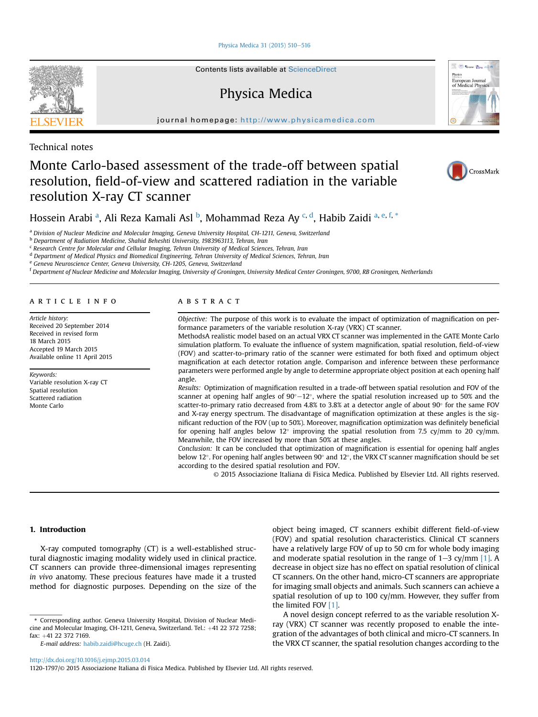[Physica Medica 31 \(2015\) 510](http://dx.doi.org/10.1016/j.ejmp.2015.03.014)-[516](http://dx.doi.org/10.1016/j.ejmp.2015.03.014)

Contents lists available at [ScienceDirect](www.sciencedirect.com/science/journal/11201797)

# Physica Medica

journal homepage: <http://www.physicamedica.com>

Technical notes

# Monte Carlo-based assessment of the trade-off between spatial resolution, field-of-view and scattered radiation in the variable resolution X-ray CT scanner



Come Stars store European Journal<br>of Medical Physi



Hossein Arabi <sup>a</sup>, Ali Reza Kamali Asl <sup>b</sup>, Mohammad Reza Ay <sup>c, d</sup>, Habib Zaidi <sup>a, e, f, \*</sup>

<sup>a</sup> Division of Nuclear Medicine and Molecular Imaging, Geneva University Hospital, CH-1211, Geneva, Switzerland

<sup>b</sup> Department of Radiation Medicine, Shahid Beheshti University, 1983963113, Tehran, Iran

<sup>c</sup> Research Centre for Molecular and Cellular Imaging, Tehran University of Medical Sciences, Tehran, Iran

<sup>d</sup> Department of Medical Physics and Biomedical Engineering, Tehran University of Medical Sciences, Tehran, Iran

<sup>e</sup> Geneva Neuroscience Center, Geneva University, CH-1205, Geneva, Switzerland

<sup>f</sup> Department of Nuclear Medicine and Molecular Imaging, University of Groningen, University Medical Center Groningen, 9700, RB Groningen, Netherlands

# article info

Article history: Received 20 September 2014 Received in revised form 18 March 2015 Accepted 19 March 2015 Available online 11 April 2015

Keywords: Variable resolution X-ray CT Spatial resolution Scattered radiation Monte Carlo

# **ABSTRACT**

Objective: The purpose of this work is to evaluate the impact of optimization of magnification on performance parameters of the variable resolution X-ray (VRX) CT scanner.

MethodsA realistic model based on an actual VRX CT scanner was implemented in the GATE Monte Carlo simulation platform. To evaluate the influence of system magnification, spatial resolution, field-of-view (FOV) and scatter-to-primary ratio of the scanner were estimated for both fixed and optimum object magnification at each detector rotation angle. Comparison and inference between these performance parameters were performed angle by angle to determine appropriate object position at each opening half angle.

Results: Optimization of magnification resulted in a trade-off between spatial resolution and FOV of the scanner at opening half angles of  $90^{\circ}-12^{\circ}$ , where the spatial resolution increased up to 50% and the scatter-to-primary ratio decreased from 4.8% to 3.8% at a detector angle of about  $90^{\circ}$  for the same FOV and X-ray energy spectrum. The disadvantage of magnification optimization at these angles is the significant reduction of the FOV (up to 50%). Moreover, magnification optimization was definitely beneficial for opening half angles below  $12^{\circ}$  improving the spatial resolution from 7.5 cy/mm to 20 cy/mm. Meanwhile, the FOV increased by more than 50% at these angles.

Conclusion: It can be concluded that optimization of magnification is essential for opening half angles below 12°. For opening half angles between 90° and 12°, the VRX CT scanner magnification should be set according to the desired spatial resolution and FOV.

© 2015 Associazione Italiana di Fisica Medica. Published by Elsevier Ltd. All rights reserved.

# 1. Introduction

X-ray computed tomography (CT) is a well-established structural diagnostic imaging modality widely used in clinical practice. CT scanners can provide three-dimensional images representing in vivo anatomy. These precious features have made it a trusted method for diagnostic purposes. Depending on the size of the

<http://dx.doi.org/10.1016/j.ejmp.2015.03.014>

1120-1797/© 2015 Associazione Italiana di Fisica Medica. Published by Elsevier Ltd. All rights reserved.

object being imaged, CT scanners exhibit different field-of-view (FOV) and spatial resolution characteristics. Clinical CT scanners have a relatively large FOV of up to 50 cm for whole body imaging and moderate spatial resolution in the range of  $1-3$  cy/mm [\[1\].](#page-5-0) A decrease in object size has no effect on spatial resolution of clinical CT scanners. On the other hand, micro-CT scanners are appropriate for imaging small objects and animals. Such scanners can achieve a spatial resolution of up to 100 cy/mm. However, they suffer from the limited FOV [\[1\]](#page-5-0).

A novel design concept referred to as the variable resolution Xray (VRX) CT scanner was recently proposed to enable the integration of the advantages of both clinical and micro-CT scanners. In the VRX CT scanner, the spatial resolution changes according to the

<sup>\*</sup> Corresponding author. Geneva University Hospital, Division of Nuclear Medicine and Molecular Imaging, CH-1211, Geneva, Switzerland. Tel.: +41 22 372 7258; fax: +41 22 372 7169.

E-mail address: [habib.zaidi@hcuge.ch](mailto:habib.zaidi@hcuge.ch) (H. Zaidi).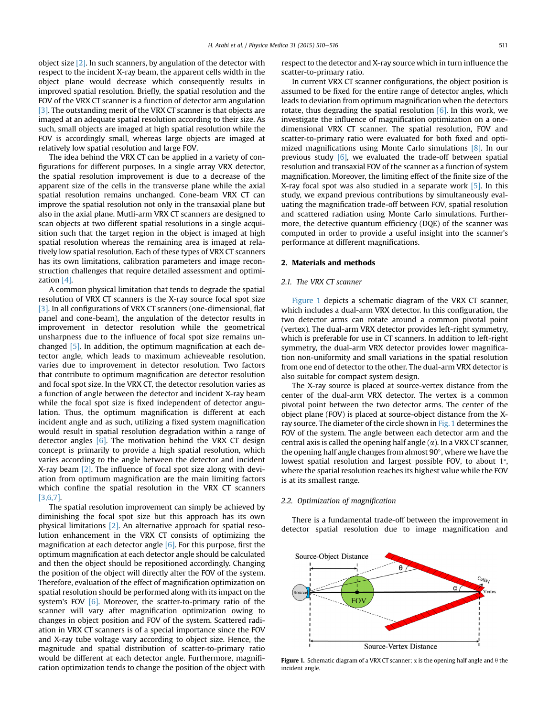object size [\[2\].](#page-5-0) In such scanners, by angulation of the detector with respect to the incident X-ray beam, the apparent cells width in the object plane would decrease which consequently results in improved spatial resolution. Briefly, the spatial resolution and the FOV of the VRX CT scanner is a function of detector arm angulation [\[3\]](#page-5-0). The outstanding merit of the VRX CT scanner is that objects are imaged at an adequate spatial resolution according to their size. As such, small objects are imaged at high spatial resolution while the FOV is accordingly small, whereas large objects are imaged at relatively low spatial resolution and large FOV.

The idea behind the VRX CT can be applied in a variety of configurations for different purposes. In a single array VRX detector, the spatial resolution improvement is due to a decrease of the apparent size of the cells in the transverse plane while the axial spatial resolution remains unchanged. Cone-beam VRX CT can improve the spatial resolution not only in the transaxial plane but also in the axial plane. Mutli-arm VRX CT scanners are designed to scan objects at two different spatial resolutions in a single acquisition such that the target region in the object is imaged at high spatial resolution whereas the remaining area is imaged at relatively low spatial resolution. Each of these types of VRX CT scanners has its own limitations, calibration parameters and image reconstruction challenges that require detailed assessment and optimization [\[4\].](#page-5-0)

A common physical limitation that tends to degrade the spatial resolution of VRX CT scanners is the X-ray source focal spot size [\[3\]](#page-5-0). In all configurations of VRX CT scanners (one-dimensional, flat panel and cone-beam), the angulation of the detector results in improvement in detector resolution while the geometrical unsharpness due to the influence of focal spot size remains unchanged [\[5\]](#page-5-0). In addition, the optimum magnification at each detector angle, which leads to maximum achieveable resolution, varies due to improvement in detector resolution. Two factors that contribute to optimum magnification are detector resolution and focal spot size. In the VRX CT, the detector resolution varies as a function of angle between the detector and incident X-ray beam while the focal spot size is fixed independent of detector angulation. Thus, the optimum magnification is different at each incident angle and as such, utilizing a fixed system magnification would result in spatial resolution degradation within a range of detector angles  $[6]$ . The motivation behind the VRX CT design concept is primarily to provide a high spatial resolution, which varies according to the angle between the detector and incident X-ray beam [\[2\].](#page-5-0) The influence of focal spot size along with deviation from optimum magnification are the main limiting factors which confine the spatial resolution in the VRX CT scanners [\[3,6,7\].](#page-5-0)

The spatial resolution improvement can simply be achieved by diminishing the focal spot size but this approach has its own physical limitations [\[2\]](#page-5-0). An alternative approach for spatial resolution enhancement in the VRX CT consists of optimizing the magnification at each detector angle  $[6]$ . For this purpose, first the optimum magnification at each detector angle should be calculated and then the object should be repositioned accordingly. Changing the position of the object will directly alter the FOV of the system. Therefore, evaluation of the effect of magnification optimization on spatial resolution should be performed along with its impact on the system's FOV  $[6]$ . Moreover, the scatter-to-primary ratio of the scanner will vary after magnification optimization owing to changes in object position and FOV of the system. Scattered radiation in VRX CT scanners is of a special importance since the FOV and X-ray tube voltage vary according to object size. Hence, the magnitude and spatial distribution of scatter-to-primary ratio would be different at each detector angle. Furthermore, magnification optimization tends to change the position of the object with respect to the detector and X-ray source which in turn influence the scatter-to-primary ratio.

In current VRX CT scanner configurations, the object position is assumed to be fixed for the entire range of detector angles, which leads to deviation from optimum magnification when the detectors rotate, thus degrading the spatial resolution  $[6]$ . In this work, we investigate the influence of magnification optimization on a onedimensional VRX CT scanner. The spatial resolution, FOV and scatter-to-primary ratio were evaluated for both fixed and optimized magnifications using Monte Carlo simulations [\[8\].](#page-5-0) In our previous study [\[6\]](#page-5-0), we evaluated the trade-off between spatial resolution and transaxial FOV of the scanner as a function of system magnification. Moreover, the limiting effect of the finite size of the X-ray focal spot was also studied in a separate work [\[5\]](#page-5-0). In this study, we expand previous contributions by simultaneously evaluating the magnification trade-off between FOV, spatial resolution and scattered radiation using Monte Carlo simulations. Furthermore, the detective quantum efficiency (DQE) of the scanner was computed in order to provide a useful insight into the scanner's performance at different magnifications.

## 2. Materials and methods

# 2.1. The VRX CT scanner

Figure 1 depicts a schematic diagram of the VRX CT scanner, which includes a dual-arm VRX detector. In this configuration, the two detector arms can rotate around a common pivotal point (vertex). The dual-arm VRX detector provides left-right symmetry, which is preferable for use in CT scanners. In addition to left-right symmetry, the dual-arm VRX detector provides lower magnification non-uniformity and small variations in the spatial resolution from one end of detector to the other. The dual-arm VRX detector is also suitable for compact system design.

The X-ray source is placed at source-vertex distance from the center of the dual-arm VRX detector. The vertex is a common pivotal point between the two detector arms. The center of the object plane (FOV) is placed at source-object distance from the Xray source. The diameter of the circle shown in Fig. 1 determines the FOV of the system. The angle between each detector arm and the central axis is called the opening half angle  $(\alpha)$ . In a VRX CT scanner, the opening half angle changes from almost  $90^\circ$ , where we have the lowest spatial resolution and largest possible FOV, to about 1°, where the spatial resolution reaches its highest value while the FOV is at its smallest range.

#### 2.2. Optimization of magnification

There is a fundamental trade-off between the improvement in detector spatial resolution due to image magnification and



Figure 1. Schematic diagram of a VRX CT scanner;  $\alpha$  is the opening half angle and  $\theta$  the incident angle.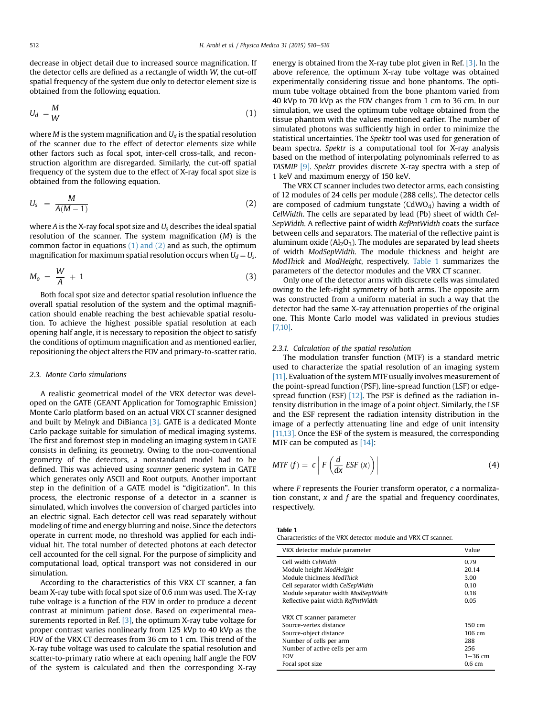<span id="page-2-0"></span>decrease in object detail due to increased source magnification. If the detector cells are defined as a rectangle of width W, the cut-off spatial frequency of the system due only to detector element size is obtained from the following equation.

$$
U_d = \frac{M}{W} \tag{1}
$$

where *M* is the system magnification and  $U_d$  is the spatial resolution of the scanner due to the effect of detector elements size while other factors such as focal spot, inter-cell cross-talk, and reconstruction algorithm are disregarded. Similarly, the cut-off spatial frequency of the system due to the effect of X-ray focal spot size is obtained from the following equation.

$$
U_s = \frac{M}{A(M-1)}\tag{2}
$$

where A is the X-ray focal spot size and  $U_s$  describes the ideal spatial resolution of the scanner. The system magnification  $(M)$  is the common factor in equations  $(1)$  and  $(2)$  and as such, the optimum magnification for maximum spatial resolution occurs when  $U_d = U_s$ .

$$
M_o = \frac{W}{A} + 1 \tag{3}
$$

Both focal spot size and detector spatial resolution influence the overall spatial resolution of the system and the optimal magnification should enable reaching the best achievable spatial resolution. To achieve the highest possible spatial resolution at each opening half angle, it is necessary to reposition the object to satisfy the conditions of optimum magnification and as mentioned earlier, repositioning the object alters the FOV and primary-to-scatter ratio.

## 2.3. Monte Carlo simulations

A realistic geometrical model of the VRX detector was developed on the GATE (GEANT Application for Tomographic Emission) Monte Carlo platform based on an actual VRX CT scanner designed and built by Melnyk and DiBianca  $[3]$ . GATE is a dedicated Monte Carlo package suitable for simulation of medical imaging systems. The first and foremost step in modeling an imaging system in GATE consists in defining its geometry. Owing to the non-conventional geometry of the detectors, a nonstandard model had to be defined. This was achieved using scanner generic system in GATE which generates only ASCII and Root outputs. Another important step in the definition of a GATE model is "digitization". In this process, the electronic response of a detector in a scanner is simulated, which involves the conversion of charged particles into an electric signal. Each detector cell was read separately without modeling of time and energy blurring and noise. Since the detectors operate in current mode, no threshold was applied for each individual hit. The total number of detected photons at each detector cell accounted for the cell signal. For the purpose of simplicity and computational load, optical transport was not considered in our simulation.

According to the characteristics of this VRX CT scanner, a fan beam X-ray tube with focal spot size of 0.6 mm was used. The X-ray tube voltage is a function of the FOV in order to produce a decent contrast at minimum patient dose. Based on experimental measurements reported in Ref.  $[3]$ , the optimum X-ray tube voltage for proper contrast varies nonlinearly from 125 kVp to 40 kVp as the FOV of the VRX CT decreases from 36 cm to 1 cm. This trend of the X-ray tube voltage was used to calculate the spatial resolution and scatter-to-primary ratio where at each opening half angle the FOV of the system is calculated and then the corresponding X-ray energy is obtained from the X-ray tube plot given in Ref. [\[3\].](#page-5-0) In the above reference, the optimum X-ray tube voltage was obtained experimentally considering tissue and bone phantoms. The optimum tube voltage obtained from the bone phantom varied from 40 kVp to 70 kVp as the FOV changes from 1 cm to 36 cm. In our simulation, we used the optimum tube voltage obtained from the tissue phantom with the values mentioned earlier. The number of simulated photons was sufficiently high in order to minimize the statistical uncertainties. The Spektr tool was used for generation of beam spectra. Spektr is a computational tool for X-ray analysis based on the method of interpolating polynominals referred to as TASMIP [\[9\]](#page-5-0). Spektr provides discrete X-ray spectra with a step of 1 keV and maximum energy of 150 keV.

The VRX CT scanner includes two detector arms, each consisting of 12 modules of 24 cells per module (288 cells). The detector cells are composed of cadmium tungstate (CdWO<sub>4</sub>) having a width of CelWidth. The cells are separated by lead (Pb) sheet of width Cel-SepWidth. A reflective paint of width RefPntWidth coats the surface between cells and separators. The material of the reflective paint is aluminum oxide  $(Al_2O_3)$ . The modules are separated by lead sheets of width ModSepWidth. The module thickness and height are ModThick and ModHeight, respectively. Table 1 summarizes the parameters of the detector modules and the VRX CT scanner.

Only one of the detector arms with discrete cells was simulated owing to the left-right symmetry of both arms. The opposite arm was constructed from a uniform material in such a way that the detector had the same X-ray attenuation properties of the original one. This Monte Carlo model was validated in previous studies [\[7,10\].](#page-5-0)

#### 2.3.1. Calculation of the spatial resolution

The modulation transfer function (MTF) is a standard metric used to characterize the spatial resolution of an imaging system [\[11\]](#page-6-0). Evaluation of the system MTF usually involves measurement of the point-spread function (PSF), line-spread function (LSF) or edgespread function (ESF)  $[12]$ . The PSF is defined as the radiation intensity distribution in the image of a point object. Similarly, the LSF and the ESF represent the radiation intensity distribution in the image of a perfectly attenuating line and edge of unit intensity [\[11,13\].](#page-6-0) Once the ESF of the system is measured, the corresponding MTF can be computed as [\[14\]:](#page-6-0)

$$
MTF(f) = c \left| F\left(\frac{d}{dx} ESF(x)\right) \right| \tag{4}
$$

where F represents the Fourier transform operator, c a normalization constant,  $x$  and  $f$  are the spatial and frequency coordinates, respectively.

|--|

Characteristics of the VRX detector module and VRX CT scanner.

| VRX detector module parameter      | Value             |
|------------------------------------|-------------------|
| Cell width CelWidth                | 0.79              |
| Module height ModHeight            | 20.14             |
| Module thickness ModThick          | 3.00              |
| Cell separator width CelSepWidth   | 0.10              |
| Module separator width ModSepWidth | 0.18              |
| Reflective paint width RefPntWidth | 0.05              |
| VRX CT scanner parameter           |                   |
| Source-vertex distance             | $150 \text{ cm}$  |
| Source-object distance             | 106 cm            |
| Number of cells per arm            | 288               |
| Number of active cells per arm     | 256               |
| <b>FOV</b>                         | $1 - 36$ cm       |
| Focal spot size                    | 0.6 <sub>cm</sub> |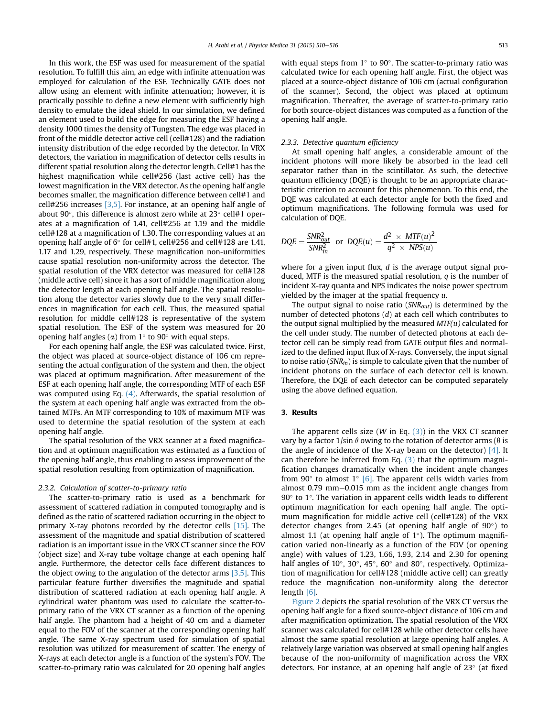In this work, the ESF was used for measurement of the spatial resolution. To fulfill this aim, an edge with infinite attenuation was employed for calculation of the ESF. Technically GATE does not allow using an element with infinite attenuation; however, it is practically possible to define a new element with sufficiently high density to emulate the ideal shield. In our simulation, we defined an element used to build the edge for measuring the ESF having a density 1000 times the density of Tungsten. The edge was placed in front of the middle detector active cell (cell#128) and the radiation intensity distribution of the edge recorded by the detector. In VRX detectors, the variation in magnification of detector cells results in different spatial resolution along the detector length. Cell#1 has the highest magnification while cell#256 (last active cell) has the lowest magnification in the VRX detector. As the opening half angle becomes smaller, the magnification difference between cell#1 and cell#256 increases [\[3,5\]](#page-5-0). For instance, at an opening half angle of about 90 $^{\circ}$ , this difference is almost zero while at 23 $^{\circ}$  cell#1 operates at a magnification of 1.41, cell#256 at 1.19 and the middle cell#128 at a magnification of 1.30. The corresponding values at an opening half angle of  $6^{\circ}$  for cell#1, cell#256 and cell#128 are 1.41, 1.17 and 1.29, respectively. These magnification non-uniformities cause spatial resolution non-uniformity across the detector. The spatial resolution of the VRX detector was measured for cell#128 (middle active cell) since it has a sort of middle magnification along the detector length at each opening half angle. The spatial resolution along the detector varies slowly due to the very small differences in magnification for each cell. Thus, the measured spatial resolution for middle cell#128 is representative of the system spatial resolution. The ESF of the system was measured for 20 opening half angles ( $\alpha$ ) from 1 $\degree$  to 90 $\degree$  with equal steps.

For each opening half angle, the ESF was calculated twice. First, the object was placed at source-object distance of 106 cm representing the actual configuration of the system and then, the object was placed at optimum magnification. After measurement of the ESF at each opening half angle, the corresponding MTF of each ESF was computed using Eq. [\(4\)](#page-2-0). Afterwards, the spatial resolution of the system at each opening half angle was extracted from the obtained MTFs. An MTF corresponding to 10% of maximum MTF was used to determine the spatial resolution of the system at each opening half angle.

The spatial resolution of the VRX scanner at a fixed magnification and at optimum magnification was estimated as a function of the opening half angle, thus enabling to assess improvement of the spatial resolution resulting from optimization of magnification.

# 2.3.2. Calculation of scatter-to-primary ratio

The scatter-to-primary ratio is used as a benchmark for assessment of scattered radiation in computed tomography and is defined as the ratio of scattered radiation occurring in the object to primary X-ray photons recorded by the detector cells [\[15\].](#page-6-0) The assessment of the magnitude and spatial distribution of scattered radiation is an important issue in the VRX CT scanner since the FOV (object size) and X-ray tube voltage change at each opening half angle. Furthermore, the detector cells face different distances to the object owing to the angulation of the detector arms  $[3,5]$ . This particular feature further diversifies the magnitude and spatial distribution of scattered radiation at each opening half angle. A cylindrical water phantom was used to calculate the scatter-toprimary ratio of the VRX CT scanner as a function of the opening half angle. The phantom had a height of 40 cm and a diameter equal to the FOV of the scanner at the corresponding opening half angle. The same X-ray spectrum used for simulation of spatial resolution was utilized for measurement of scatter. The energy of X-rays at each detector angle is a function of the system's FOV. The scatter-to-primary ratio was calculated for 20 opening half angles

with equal steps from  $1^\circ$  to 90 $^\circ$ . The scatter-to-primary ratio was calculated twice for each opening half angle. First, the object was placed at a source-object distance of 106 cm (actual configuration of the scanner). Second, the object was placed at optimum magnification. Thereafter, the average of scatter-to-primary ratio for both source-object distances was computed as a function of the opening half angle.

## 2.3.3. Detective quantum efficiency

At small opening half angles, a considerable amount of the incident photons will more likely be absorbed in the lead cell separator rather than in the scintillator. As such, the detective quantum efficiency (DQE) is thought to be an appropriate characteristic criterion to account for this phenomenon. To this end, the DQE was calculated at each detector angle for both the fixed and optimum magnifications. The following formula was used for calculation of DQE.

$$
DQE = \frac{SNR_{out}^2}{SNR_{in}^2}
$$
 or 
$$
DQE(u) = \frac{d^2 \times MTF(u)^2}{q^2 \times NPS(u)}
$$

where for a given input flux,  $d$  is the average output signal produced, MTF is the measured spatial resolution, q is the number of incident X-ray quanta and NPS indicates the noise power spectrum yielded by the imager at the spatial frequency u.

The output signal to noise ratio ( $SNR_{out}$ ) is determined by the number of detected photons (d) at each cell which contributes to the output signal multiplied by the measured  $MTF(u)$  calculated for the cell under study. The number of detected photons at each detector cell can be simply read from GATE output files and normalized to the defined input flux of X-rays. Conversely, the input signal to noise ratio ( $SNR_{in}$ ) is simple to calculate given that the number of incident photons on the surface of each detector cell is known. Therefore, the DQE of each detector can be computed separately using the above defined equation.

# 3. Results

The apparent cells size (*W* in Eq.  $(3)$ ) in the VRX CT scanner vary by a factor  $1/\sin \theta$  owing to the rotation of detector arms ( $\theta$  is the angle of incidence of the X-ray beam on the detector)  $[4]$ . It can therefore be inferred from Eq.  $(3)$  that the optimum magnification changes dramatically when the incident angle changes from 90 $\degree$  to almost 1 $\degree$  [\[6\]](#page-5-0). The apparent cells width varies from almost  $0.79$  mm $-0.015$  mm as the incident angle changes from  $90^{\circ}$  to 1°. The variation in apparent cells width leads to different optimum magnification for each opening half angle. The optimum magnification for middle active cell (cell#128) of the VRX detector changes from 2.45 (at opening half angle of  $90^{\circ}$ ) to almost 1.1 (at opening half angle of  $1^\circ$ ). The optimum magnification varied non-linearly as a function of the FOV (or opening angle) with values of 1.23, 1.66, 1.93, 2.14 and 2.30 for opening half angles of 10 $^{\circ}$ , 30 $^{\circ}$ , 45 $^{\circ}$ , 60 $^{\circ}$  and 80 $^{\circ}$ , respectively. Optimization of magnification for cell#128 (middle active cell) can greatly reduce the magnification non-uniformity along the detector length [\[6\].](#page-5-0)

[Figure 2](#page-4-0) depicts the spatial resolution of the VRX CT versus the opening half angle for a fixed source-object distance of 106 cm and after magnification optimization. The spatial resolution of the VRX scanner was calculated for cell#128 while other detector cells have almost the same spatial resolution at large opening half angles. A relatively large variation was observed at small opening half angles because of the non-uniformity of magnification across the VRX detectors. For instance, at an opening half angle of  $23^\circ$  (at fixed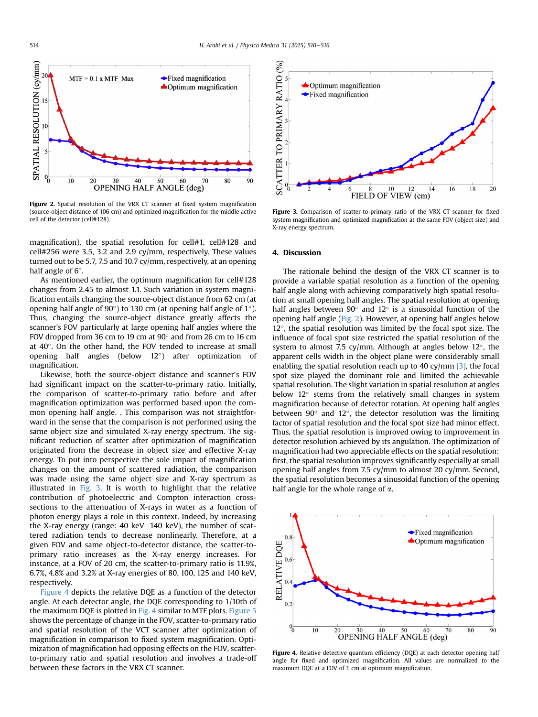<span id="page-4-0"></span>

Figure 2. Spatial resolution of the VRX CT scanner at fixed system magnification (source-object distance of 106 cm) and optimized magnification for the middle active cell of the detector (cell#128).

magnification), the spatial resolution for cell#1, cell#128 and cell#256 were 3.5, 3.2 and 2.9 cy/mm, respectively. These values turned out to be 5.7, 7.5 and 10.7 cy/mm, respectively, at an opening half angle of  $6^\circ$ .

As mentioned earlier, the optimum magnification for cell#128 changes from 2.45 to almost 1.1. Such variation in system magnification entails changing the source-object distance from 62 cm (at opening half angle of  $90^{\circ}$ ) to 130 cm (at opening half angle of  $1^{\circ}$ ). Thus, changing the source-object distance greatly affects the scanner's FOV particularly at large opening half angles where the FOV dropped from 36 cm to 19 cm at  $90^\circ$  and from 26 cm to 16 cm at  $40^\circ$ . On the other hand, the FOV tended to increase at small opening half angles (below  $12^{\circ}$ ) after optimization of magnification.

Likewise, both the source-object distance and scanner's FOV had significant impact on the scatter-to-primary ratio. Initially, the comparison of scatter-to-primary ratio before and after magnification optimization was performed based upon the common opening half angle. . This comparison was not straightforward in the sense that the comparison is not performed using the same object size and simulated X-ray energy spectrum. The significant reduction of scatter after optimization of magnification originated from the decrease in object size and effective X-ray energy. To put into perspective the sole impact of magnification changes on the amount of scattered radiation, the comparison was made using the same object size and X-ray spectrum as illustrated in Fig. 3. It is worth to highlight that the relative contribution of photoelectric and Compton interaction crosssections to the attenuation of X-rays in water as a function of photon energy plays a role in this context. Indeed, by increasing the X-ray energy (range:  $40 \text{ keV}$  –  $140 \text{ keV}$ ), the number of scattered radiation tends to decrease nonlinearly. Therefore, at a given FOV and same object-to-detector distance, the scatter-toprimary ratio increases as the X-ray energy increases. For instance, at a FOV of 20 cm, the scatter-to-primary ratio is 11.9%, 6.7%, 4.8% and 3.2% at X-ray energies of 80, 100, 125 and 140 keV, respectively.

Figure 4 depicts the relative DQE as a function of the detector angle. At each detector angle, the DQE corresponding to 1/10th of the maximum DQE is plotted in Fig. 4 similar to MTF plots. [Figure 5](#page-5-0) shows the percentage of change in the FOV, scatter-to-primary ratio and spatial resolution of the VCT scanner after optimization of magnification in comparison to fixed system magnification. Optimization of magnification had opposing effects on the FOV, scatterto-primary ratio and spatial resolution and involves a trade-off between these factors in the VRX CT scanner.



Figure 3. Comparison of scatter-to-primary ratio of the VRX CT scanner for fixed system magnification and optimized magnification at the same FOV (object size) and X-ray energy spectrum.

## 4. Discussion

The rationale behind the design of the VRX CT scanner is to provide a variable spatial resolution as a function of the opening half angle along with achieving comparatively high spatial resolution at small opening half angles. The spatial resolution at opening half angles between  $90^{\circ}$  and  $12^{\circ}$  is a sinusoidal function of the opening half angle (Fig. 2). However, at opening half angles below  $12^{\circ}$ , the spatial resolution was limited by the focal spot size. The influence of focal spot size restricted the spatial resolution of the system to almost 7.5 cy/mm. Although at angles below  $12^{\circ}$ , the apparent cells width in the object plane were considerably small enabling the spatial resolution reach up to 40 cy/mm  $[3]$ , the focal spot size played the dominant role and limited the achievable spatial resolution. The slight variation in spatial resolution at angles below  $12^{\circ}$  stems from the relatively small changes in system magnification because of detector rotation. At opening half angles between  $90^\circ$  and  $12^\circ$ , the detector resolution was the limiting factor of spatial resolution and the focal spot size had minor effect. Thus, the spatial resolution is improved owing to improvement in detector resolution achieved by its angulation. The optimization of magnification had two appreciable effects on the spatial resolution: first, the spatial resolution improves significantly especially at small opening half angles from 7.5 cy/mm to almost 20 cy/mm. Second, the spatial resolution becomes a sinusoidal function of the opening half angle for the whole range of  $\alpha$ .



Figure 4. Relative detective quantum efficiency (DQE) at each detector opening half angle for fixed and optimized magnification. All values are normalized to the maximum DQE at a FOV of 1 cm at optimum magnification.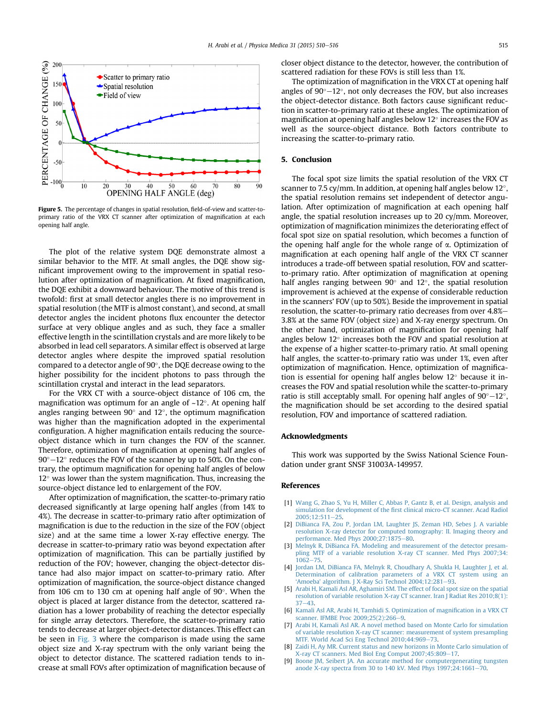<span id="page-5-0"></span>

Figure 5. The percentage of changes in spatial resolution, field-of-view and scatter-toprimary ratio of the VRX CT scanner after optimization of magnification at each opening half angle.

The plot of the relative system DQE demonstrate almost a similar behavior to the MTF. At small angles, the DQE show significant improvement owing to the improvement in spatial resolution after optimization of magnification. At fixed magnification, the DQE exhibit a downward behaviour. The motive of this trend is twofold: first at small detector angles there is no improvement in spatial resolution (the MTF is almost constant), and second, at small detector angles the incident photons flux encounter the detector surface at very oblique angles and as such, they face a smaller effective length in the scintillation crystals and are more likely to be absorbed in lead cell separators. A similar effect is observed at large detector angles where despite the improved spatial resolution compared to a detector angle of  $90^\circ$ , the DQE decrease owing to the higher possibility for the incident photons to pass through the scintillation crystal and interact in the lead separators.

For the VRX CT with a source-object distance of 106 cm, the magnification was optimum for an angle of  $\sim 12^\circ$ . At opening half angles ranging between  $90^{\circ}$  and  $12^{\circ}$ , the optimum magnification was higher than the magnification adopted in the experimental configuration. A higher magnification entails reducing the sourceobject distance which in turn changes the FOV of the scanner. Therefore, optimization of magnification at opening half angles of  $90^{\circ}-12^{\circ}$  reduces the FOV of the scanner by up to 50%. On the contrary, the optimum magnification for opening half angles of below  $12^{\circ}$  was lower than the system magnification. Thus, increasing the source-object distance led to enlargement of the FOV.

After optimization of magnification, the scatter-to-primary ratio decreased significantly at large opening half angles (from 14% to 4%). The decrease in scatter-to-primary ratio after optimization of magnification is due to the reduction in the size of the FOV (object size) and at the same time a lower X-ray effective energy. The decrease in scatter-to-primary ratio was beyond expectation after optimization of magnification. This can be partially justified by reduction of the FOV; however, changing the object-detector distance had also major impact on scatter-to-primary ratio. After optimization of magnification, the source-object distance changed from 106 cm to 130 cm at opening half angle of  $90^\circ$ . When the object is placed at larger distance from the detector, scattered radiation has a lower probability of reaching the detector especially for single array detectors. Therefore, the scatter-to-primary ratio tends to decrease at larger object-detector distances. This effect can be seen in [Fig. 3](#page-4-0) where the comparison is made using the same object size and X-ray spectrum with the only variant being the object to detector distance. The scattered radiation tends to increase at small FOVs after optimization of magnification because of closer object distance to the detector, however, the contribution of scattered radiation for these FOVs is still less than 1%.

The optimization of magnification in the VRX CT at opening half angles of  $90^{\circ}-12^{\circ}$ , not only decreases the FOV, but also increases the object-detector distance. Both factors cause significant reduction in scatter-to-primary ratio at these angles. The optimization of magnification at opening half angles below  $12^{\circ}$  increases the FOV as well as the source-object distance. Both factors contribute to increasing the scatter-to-primary ratio.

## 5. Conclusion

The focal spot size limits the spatial resolution of the VRX CT scanner to 7.5 cy/mm. In addition, at opening half angles below  $12^{\circ}$ , the spatial resolution remains set independent of detector angulation. After optimization of magnification at each opening half angle, the spatial resolution increases up to 20 cy/mm. Moreover, optimization of magnification minimizes the deteriorating effect of focal spot size on spatial resolution, which becomes a function of the opening half angle for the whole range of  $\alpha$ . Optimization of magnification at each opening half angle of the VRX CT scanner introduces a trade-off between spatial resolution, FOV and scatterto-primary ratio. After optimization of magnification at opening half angles ranging between  $90^{\circ}$  and  $12^{\circ}$ , the spatial resolution improvement is achieved at the expense of considerable reduction in the scanners' FOV (up to 50%). Beside the improvement in spatial resolution, the scatter-to-primary ratio decreases from over 4.8%-3.8% at the same FOV (object size) and X-ray energy spectrum. On the other hand, optimization of magnification for opening half angles below  $12^{\circ}$  increases both the FOV and spatial resolution at the expense of a higher scatter-to-primary ratio. At small opening half angles, the scatter-to-primary ratio was under 1%, even after optimization of magnification. Hence, optimization of magnification is essential for opening half angles below  $12^{\circ}$  because it increases the FOV and spatial resolution while the scatter-to-primary ratio is still acceptably small. For opening half angles of  $90^{\circ}-12^{\circ}$ , the magnification should be set according to the desired spatial resolution, FOV and importance of scattered radiation.

## Acknowledgments

This work was supported by the Swiss National Science Foundation under grant SNSF 31003A-149957.

## References

- [1] [Wang G, Zhao S, Yu H, Miller C, Abbas P, Gantz B, et al. Design, analysis and](http://refhub.elsevier.com/S1120-1797(15)00076-9/sref1) simulation for development of the fi[rst clinical micro-CT scanner. Acad Radiol](http://refhub.elsevier.com/S1120-1797(15)00076-9/sref1)  $2005:12:511-25$
- [2] [DiBianca FA, Zou P, Jordan LM, Laughter JS, Zeman HD, Sebes J. A variable](http://refhub.elsevier.com/S1120-1797(15)00076-9/sref2) [resolution X-ray detector for computed tomography: II. Imaging theory and](http://refhub.elsevier.com/S1120-1797(15)00076-9/sref2) performance. Med Phys 2000:27:1875-[80](http://refhub.elsevier.com/S1120-1797(15)00076-9/sref2).
- [3] [Melnyk R, DiBianca FA. Modeling and measurement of the detector presam](http://refhub.elsevier.com/S1120-1797(15)00076-9/sref3)[pling MTF of a variable resolution X-ray CT scanner. Med Phys 2007;34:](http://refhub.elsevier.com/S1120-1797(15)00076-9/sref3)  $1062 - 75.$  $1062 - 75.$  $1062 - 75.$  $1062 - 75.$
- [4] [Jordan LM, DiBianca FA, Melnyk R, Choudhary A, Shukla H, Laughter J, et al.](http://refhub.elsevier.com/S1120-1797(15)00076-9/sref4) [Determination of calibration parameters of a VRX CT system using an](http://refhub.elsevier.com/S1120-1797(15)00076-9/sref4) 'Amoeba' [algorithm. J X-Ray Sci Technol 2004;12:281](http://refhub.elsevier.com/S1120-1797(15)00076-9/sref4)-[93.](http://refhub.elsevier.com/S1120-1797(15)00076-9/sref4)
- [5] [Arabi H, Kamali Asl AR, Aghamiri SM. The effect of focal spot size on the spatial](http://refhub.elsevier.com/S1120-1797(15)00076-9/sref5) [resolution of variable resolution X-ray CT scanner. Iran J Radiat Res 2010;8\(1\):](http://refhub.elsevier.com/S1120-1797(15)00076-9/sref5)  $37 - 43$  $37 - 43$
- [6] [Kamali Asl AR, Arabi H, Tamhidi S. Optimization of magni](http://refhub.elsevier.com/S1120-1797(15)00076-9/sref6)fication in a VRX CT [scanner. IFMBE Proc 2009;25\(2\):266](http://refhub.elsevier.com/S1120-1797(15)00076-9/sref6)-[9.](http://refhub.elsevier.com/S1120-1797(15)00076-9/sref6)
- [7] [Arabi H, Kamali Asl AR. A novel method based on Monte Carlo for simulation](http://refhub.elsevier.com/S1120-1797(15)00076-9/sref7) [of variable resolution X-ray CT scanner: measurement of system presampling](http://refhub.elsevier.com/S1120-1797(15)00076-9/sref7) [MTF. World Acad Sci Eng Technol 2010;44:969](http://refhub.elsevier.com/S1120-1797(15)00076-9/sref7)-[73](http://refhub.elsevier.com/S1120-1797(15)00076-9/sref7).
- [8] [Zaidi H, Ay MR. Current status and new horizons in Monte Carlo simulation of](http://refhub.elsevier.com/S1120-1797(15)00076-9/sref8) [X-ray CT scanners. Med Biol Eng Comput 2007;45:809](http://refhub.elsevier.com/S1120-1797(15)00076-9/sref8)-[17.](http://refhub.elsevier.com/S1120-1797(15)00076-9/sref8)
- [9] [Boone JM, Seibert JA. An accurate method for computergenerating tungsten](http://refhub.elsevier.com/S1120-1797(15)00076-9/sref9) anode X-ray spectra from 30 to 140 kV. Med Phys  $1997;24:1661-70$ .